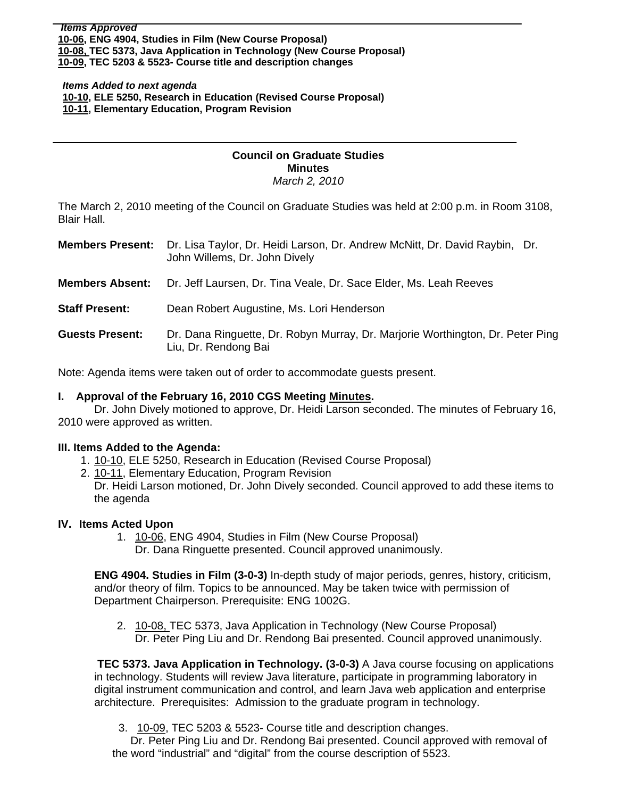*Items Approved*  **[10-06, E](http://www.eiu.edu/~eiucgs/currentagendaitems/agenda10-06.pdf)NG 4904, Studies in Film (New Course Proposal) [10-08, T](http://www.eiu.edu/~eiucgs/currentagendaitems/agenda10-08.pdf)EC 5373, Java Application in Technology (New Course Proposal) [10-09, TE](http://www.eiu.edu/~eiucgs/currentagendaitems/agenda10-09.pdf)C 5203 & 5523- Course title and description changes** 

#### *Items Added to next agenda*  **[10-10, E](http://www.eiu.edu/~eiucgs/currentagendaitems/agenda10-10.pdf)LE 5250, Research in Education (Revised Course Proposal) [10-11, E](http://www.eiu.edu/~eiucgs/currentagendaitems/agenda10-11.pdf)lementary Education, Program Revision**

# **Council on Graduate Studies Minutes**

*March 2, 2010* 

The March 2, 2010 meeting of the Council on Graduate Studies was held at 2:00 p.m. in Room 3108, Blair Hall.

|                        | <b>Members Present:</b> Dr. Lisa Taylor, Dr. Heidi Larson, Dr. Andrew McNitt, Dr. David Raybin, Dr.<br>John Willems, Dr. John Dively |
|------------------------|--------------------------------------------------------------------------------------------------------------------------------------|
| <b>Members Absent:</b> | Dr. Jeff Laursen, Dr. Tina Veale, Dr. Sace Elder, Ms. Leah Reeves                                                                    |
| <b>Staff Present:</b>  | Dean Robert Augustine, Ms. Lori Henderson                                                                                            |
| <b>Guests Present:</b> | Dr. Dana Ringuette, Dr. Robyn Murray, Dr. Marjorie Worthington, Dr. Peter Ping<br>Liu, Dr. Rendong Bai                               |

Note: Agenda items were taken out of order to accommodate guests present.

### **I. Approval of the February 16, 2010 CGS Meetin[g Minutes.](http://www.eiu.edu/~eiucgs/currentminutes/Minutes2-16-10.pdf)**

 Dr. John Dively motioned to approve, Dr. Heidi Larson seconded. The minutes of February 16, 2010 were approved as written.

#### **III. Items Added to the Agenda:**

- 1. [10-10,](http://www.eiu.edu/~eiucgs/currentagendaitems/agenda10-10.pdf) ELE 5250, Research in Education (Revised Course Proposal)
- 2. [10-11,](http://www.eiu.edu/~eiucgs/currentagendaitems/agenda10-11.pdf) Elementary Education, Program Revision

Dr. Heidi Larson motioned, Dr. John Dively seconded. Council approved to add these items to the agenda

#### **IV. Items Acted Upon**

Ī

1. [10-06,](http://www.eiu.edu/~eiucgs/currentagendaitems/agenda10-06.pdf) ENG 4904, Studies in Film (New Course Proposal) Dr. Dana Ringuette presented. Council approved unanimously.

**ENG 4904. Studies in Film (3-0-3)** In-depth study of major periods, genres, history, criticism, and/or theory of film. Topics to be announced. May be taken twice with permission of Department Chairperson. Prerequisite: ENG 1002G.

2. [10-08, T](http://www.eiu.edu/~eiucgs/currentagendaitems/agenda10-08.pdf)EC 5373, Java Application in Technology (New Course Proposal) Dr. Peter Ping Liu and Dr. Rendong Bai presented. Council approved unanimously.

**TEC 5373. Java Application in Technology. (3-0-3)** A Java course focusing on applications in technology. Students will review Java literature, participate in programming laboratory in digital instrument communication and control, and learn Java web application and enterprise architecture. Prerequisites: Admission to the graduate program in technology.

3. [10-09, T](http://www.eiu.edu/~eiucgs/currentagendaitems/agenda10-09.pdf)EC 5203 & 5523- Course title and description changes.

 Dr. Peter Ping Liu and Dr. Rendong Bai presented. Council approved with removal of the word "industrial" and "digital" from the course description of 5523.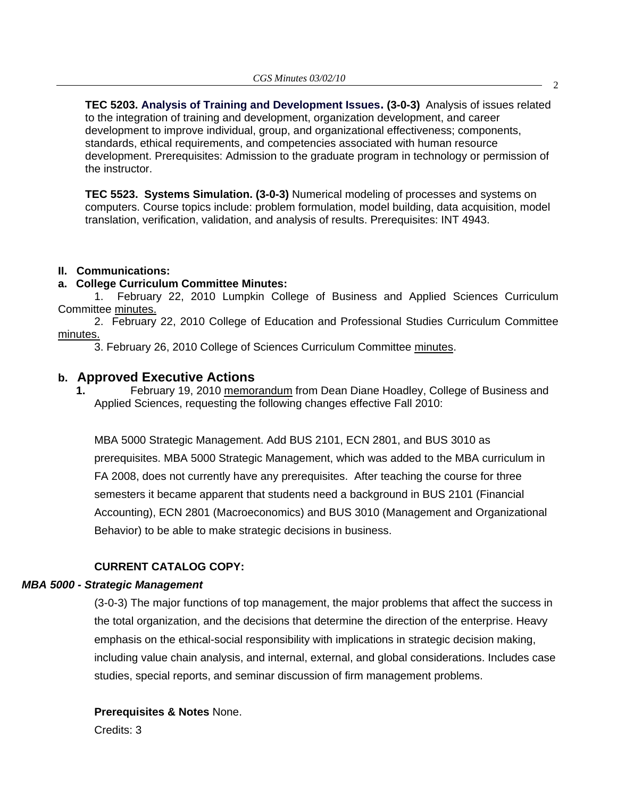**TEC 5203. Analysis of Training and Development Issues. (3-0-3)** Analysis of issues related to the integration of training and development, organization development, and career development to improve individual, group, and organizational effectiveness; components, standards, ethical requirements, and competencies associated with human resource development. Prerequisites: Admission to the graduate program in technology or permission of the instructor.

**TEC 5523. Systems Simulation. (3-0-3)** Numerical modeling of processes and systems on computers. Course topics include: problem formulation, model building, data acquisition, model translation, verification, validation, and analysis of results. Prerequisites: INT 4943.

#### **II. Communications:**

### **a. College Curriculum Committee Minutes:**

1. February 22, 2010 Lumpkin College of Business and Applied Sciences Curriculum Committee [minutes.](http://www.eiu.edu/~eiucgs/currentagendaitems/LCBASMin2-22-10.pdf)

 2. February 22, 2010 College of Education and Professional Studies Curriculum Committee [minutes.](http://www.eiu.edu/~eiucgs/currentagendaitems/CEPSMin2-22-10.pdf)

3. February 26, 2010 College of Sciences Curriculum Committee minutes.

### **b. Approved Executive Actions**

**1.** February 19, 201[0 memorandum fro](http://www.eiu.edu/~eiucgs/currentagendaitems/LCBAS-2-19-10ExecAct.pdf)m Dean Diane Hoadley, College of Business and Applied Sciences, requesting the following changes effective Fall 2010:

MBA 5000 Strategic Management. Add BUS 2101, ECN 2801, and BUS 3010 as prerequisites. MBA 5000 Strategic Management, which was added to the MBA curriculum in FA 2008, does not currently have any prerequisites. After teaching the course for three semesters it became apparent that students need a background in BUS 2101 (Financial Accounting), ECN 2801 (Macroeconomics) and BUS 3010 (Management and Organizational Behavior) to be able to make strategic decisions in business.

### **CURRENT CATALOG COPY:**

#### *MBA 5000 - Strategic Management*

(3-0-3) The major functions of top management, the major problems that affect the success in the total organization, and the decisions that determine the direction of the enterprise. Heavy emphasis on the ethical-social responsibility with implications in strategic decision making, including value chain analysis, and internal, external, and global considerations. Includes case studies, special reports, and seminar discussion of firm management problems.

### **Prerequisites & Notes** None.

Credits: 3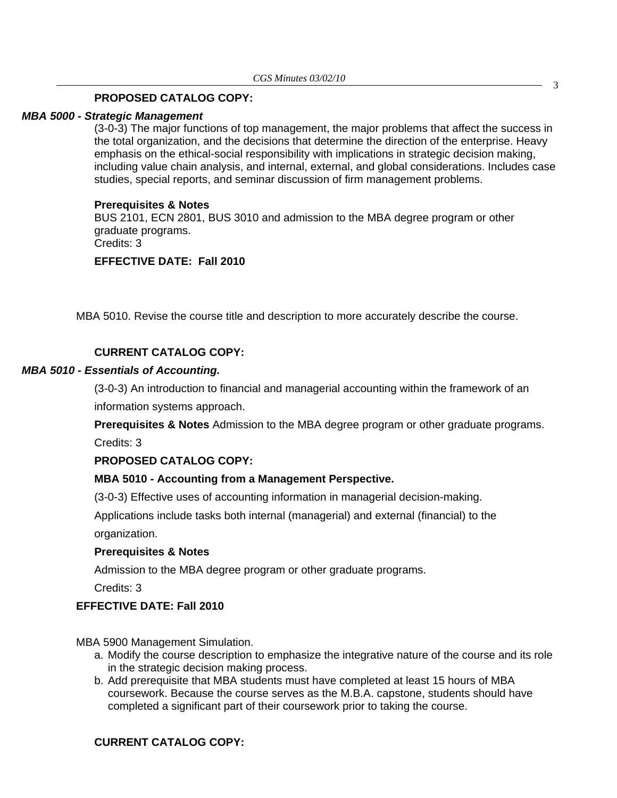#### **PROPOSED CATALOG COPY:**

#### *MBA 5000 - Strategic Management*

(3-0-3) The major functions of top management, the major problems that affect the success in the total organization, and the decisions that determine the direction of the enterprise. Heavy emphasis on the ethical-social responsibility with implications in strategic decision making, including value chain analysis, and internal, external, and global considerations. Includes case studies, special reports, and seminar discussion of firm management problems.

#### **Prerequisites & Notes**

BUS 2101, ECN 2801, BUS 3010 and admission to the MBA degree program or other graduate programs. Credits: 3

## **EFFECTIVE DATE: Fall 2010**

MBA 5010. Revise the course title and description to more accurately describe the course.

#### **CURRENT CATALOG COPY:**

#### *MBA 5010 - Essentials of Accounting.*

(3-0-3) An introduction to financial and managerial accounting within the framework of an information systems approach.

**Prerequisites & Notes** Admission to the MBA degree program or other graduate programs. Credits: 3

**PROPOSED CATALOG COPY:** 

#### **MBA 5010 - Accounting from a Management Perspective.**

(3-0-3) Effective uses of accounting information in managerial decision-making.

Applications include tasks both internal (managerial) and external (financial) to the organization.

#### **Prerequisites & Notes**

Admission to the MBA degree program or other graduate programs.

Credits: 3

### **EFFECTIVE DATE: Fall 2010**

MBA 5900 Management Simulation.

- a. Modify the course description to emphasize the integrative nature of the course and its role in the strategic decision making process.
- b. Add prerequisite that MBA students must have completed at least 15 hours of MBA coursework. Because the course serves as the M.B.A. capstone, students should have completed a significant part of their coursework prior to taking the course.

#### **CURRENT CATALOG COPY:**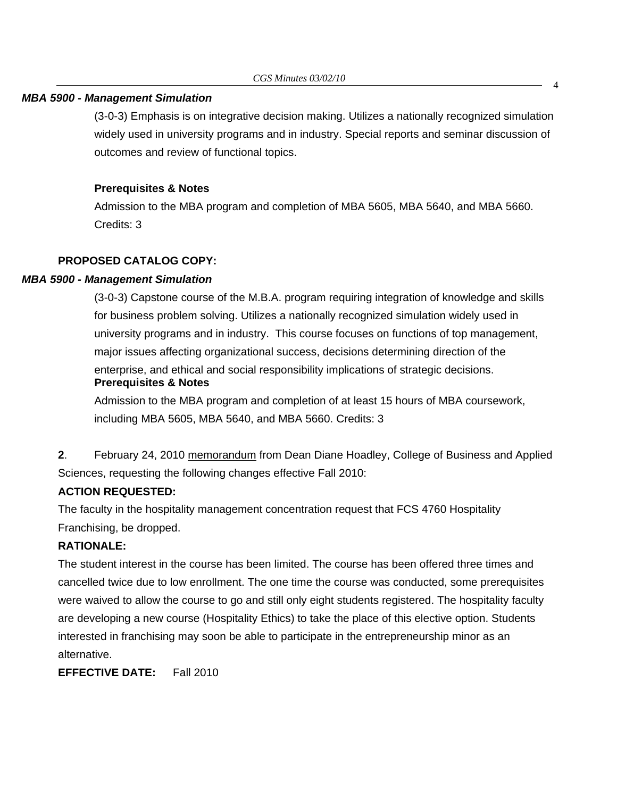#### *MBA 5900 - Management Simulation*

(3-0-3) Emphasis is on integrative decision making. Utilizes a nationally recognized simulation widely used in university programs and in industry. Special reports and seminar discussion of outcomes and review of functional topics.

### **Prerequisites & Notes**

Admission to the MBA program and completion of MBA 5605, MBA 5640, and MBA 5660. Credits: 3

# **PROPOSED CATALOG COPY:**

### *MBA 5900 - Management Simulation*

(3-0-3) Capstone course of the M.B.A. program requiring integration of knowledge and skills for business problem solving. Utilizes a nationally recognized simulation widely used in university programs and in industry. This course focuses on functions of top management, major issues affecting organizational success, decisions determining direction of the enterprise, and ethical and social responsibility implications of strategic decisions. **Prerequisites & Notes**

Admission to the MBA program and completion of at least 15 hours of MBA coursework, including MBA 5605, MBA 5640, and MBA 5660. Credits: 3

**2**. February 24, 20[10 memorandum fro](http://www.eiu.edu/~eiucgs/currentagendaitems/LCBAS-2-24-10ExecAct.pdf)m Dean Diane Hoadley, College of Business and Applied Sciences, requesting the following changes effective Fall 2010:

### **ACTION REQUESTED:**

The faculty in the hospitality management concentration request that FCS 4760 Hospitality Franchising, be dropped.

### **RATIONALE:**

The student interest in the course has been limited. The course has been offered three times and cancelled twice due to low enrollment. The one time the course was conducted, some prerequisites were waived to allow the course to go and still only eight students registered. The hospitality faculty are developing a new course (Hospitality Ethics) to take the place of this elective option. Students interested in franchising may soon be able to participate in the entrepreneurship minor as an alternative.

**EFFECTIVE DATE:** Fall 2010